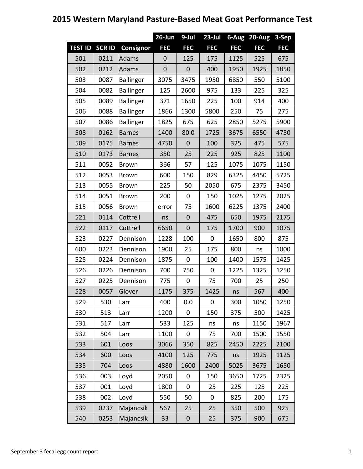## **26-Jun 9-Jul 23-Jul 6-Aug 20-Aug 3-Sep TEST ID SCR ID Consignor FEC FEC FEC FEC FEC FEC** 501 | 0211 |Adams | 0 | 125 | 175 | 1125 | 525 | 675 502 0212 Adams 0 0 400 1950 1925 1850 503 | 0087 | Ballinger | 3075 | 3475 | 1950 | 6850 | 550 | 5100 504 | 0082 | Ballinger | 125 | 2600 | 975 | 133 | 225 | 325 505 0089 Ballinger 371 1650 225 100 914 400 506 0088 Ballinger 1866 1300 5800 250 75 275 507 | 0086 | Ballinger | 1825 | 675 | 625 | 2850 | 5275 | 5900 508 0162 Barnes 1400 80.0 1725 3675 6550 4750 509 | 0175 |Barnes | 4750 | 0 | 100 | 325 | 475 | 575 510 | 0173 |Barnes | 350 | 25 | 225 | 925 | 825 | 1100 511 0052 Brown 366 57 125 1075 1075 1150 512 0053 Brown 600 150 829 6325 4450 5725 513 0055 Brown 225 50 2050 675 2375 3450 514 0051 Brown 200 0 150 1025 1275 2025 515 | 0056 |Brown | error | 75 | 1600 | 6225 | 1375 | 2400 521 0114 Cottrell ns 0 475 650 1975 2175 522 0117 Cottrell 6650 0 175 1700 900 1075 523 0227 Dennison 1228 100 0 1650 800 875 600 0223 Dennison 1900 25 175 800 ns 1000 525 0224 Dennison 1875 0 100 1400 1575 1425 526 | 0226 | Dennison | 700 | 750 | 0 | 1225 | 1325 | 1250 527 | 0225 | Dennison | 775 | 0 | 75 | 700 | 25 | 250 528 | 0057 |Glover | 1175 | 375 | 1425 | ns | 567 | 400 529 | 530 |Larr | 400 | 0.0 | 0 | 300 | 1050 | 1250 530 513 Larr 1200 0 150 375 500 1425 531 | 517 |Larr | 533 | 125 | ns | ns | 1150 | 1967 532 504 Larr 1100 0 75 700 1500 1550 533 601 Loos 3066 350 825 2450 2225 2100 534 600 Loos 4100 125 775 ns 1925 1125 535 704 Loos 4880 1600 2400 5025 3675 1650 536 003 Loyd 2050 0 150 3650 1725 2325 537 001 Loyd 1800 0 25 225 125 225 538 002 Loyd 550 50 0 825 200 175 539 | 0237 | Majancsik | 567 | 25 | 25 | 350 | 500 | 925 540 0253 Majancsik 33 0 25 375 900 675

#### **2015 Western Maryland Pasture-Based Meat Goat Performance Test**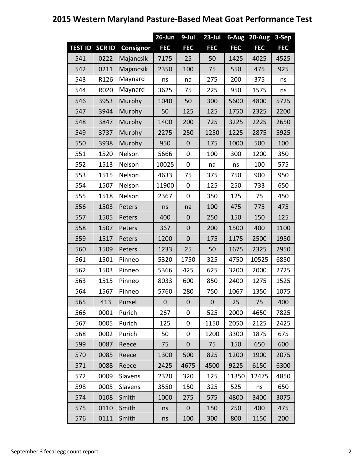### **26-Jun 9-Jul 23-Jul 6-Aug 20-Aug 3-Sep TEST ID SCR ID Consignor FEC FEC FEC FEC FEC FEC** 541 | 0222 | Majancsik | 7175 | 25 | 50 | 1425 | 4025 | 4525 542 | 0211 | Majancsik | 2350 | 100 | 75 | 550 | 475 | 925 543 | R126 | Maynard 544 R020 Maynard ns | na | 275 | 200 | 375 | ns Murphy 3625 75 225 950 1575 ns 546 3953 Murphy 1040 50 300 5600 4800 5725 547 3944 Murphy 50 125 125 1750 2325 2200 548 3847 Murphy 1400 200 725 3225 2225 2650 549 3737 Murphy 2275 250 1250 1225 2875 5925 550 3938 Murphy 950 0 175 1000 500 100 551 1520 Nelson 5666 0 100 300 1200 350 552 | 1513 |Nelson | 10025 | 0 | na | ns | 100 | 575 553 1515 Nelson 4633 75 375 750 900 950 554 1507 Nelson 11900 0 125 250 733 650 555 1518 Nelson 2367 0 350 125 75 450 556 | 1503 |Peters | ns | na | 100 | 475 | 775 | 475 557 1505 Peters 400 0 250 150 150 125 558 | 1507 |Peters | 367 | 0 | 200 | 1500 | 400 | 1100 559 1517 Peters 1200 0 175 1175 2500 1950 560 | 1509 |Peters | 1233 | 25 | 50 | 1675 | 2325 | 2950 561 1501 Pinneo 5320 1750 325 4750 10525 6850 562 1503 Pinneo 5366 425 625 3200 2000 2725 563 1515 Pinneo 8033 600 850 2400 1275 1525 564 1567 Pinneo 5760 280 750 1067 1350 1075 565 413 Pursel 0 0 0 25 75 400 566 0001 Purich 267 0 525 2000 4650 7825 567 0005 Purich 125 0 1150 2050 2125 2425 568 0002 Purich 50 0 1200 3300 1875 675 599 | 0087 |Reece | 75 | 0 | 75 | 150 | 650 | 600 570 0085 Reece 1300 500 825 1200 1900 2075 571 | 0088 |Reece | 2425 | 4675 | 4500 | 9225 | 6150 | 6300 572 | 0009 |Slavens | 2320 | 320 | 125 |11350| 12475 | 4850 598 | 0005 |Slavens | 3550 | 150 | 325 | 525 | ns | 650 574 | 0108 |Smith | 1000 | 275 | 575 | 4800 | 3400 | 3075 575 | 0110 |Smith | ns | 0 | 150 | 250 | 400 | 475 576 0111 Smith ns 100 300 800 1150 200

### **2015 Western Maryland Pasture-Based Meat Goat Performance Test**